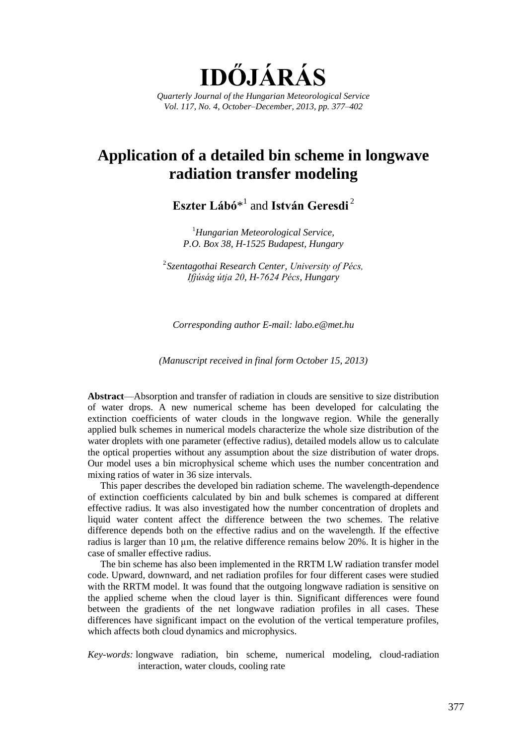**IDŐJÁRÁS** *Quarterly Journal of the Hungarian Meteorological Service Vol. 117, No. 4, October–December, 2013, pp. 377–402*

# **Application of a detailed bin scheme in longwave radiation transfer modeling**

**Eszter Lábó**\* 1 and **István Geresdi** <sup>2</sup>

<sup>1</sup>*Hungarian Meteorological Service, P.O. Box 38, H-1525 Budapest, Hungary*

2 *Szentagothai Research Center, University of Pécs, Ifjúság útja 20, H-7624 Pécs, Hungary*

*Corresponding author E-mail: labo.e@met.hu*

*(Manuscript received in final form October 15, 2013)*

**Abstract**—Absorption and transfer of radiation in clouds are sensitive to size distribution of water drops. A new numerical scheme has been developed for calculating the extinction coefficients of water clouds in the longwave region. While the generally applied bulk schemes in numerical models characterize the whole size distribution of the water droplets with one parameter (effective radius), detailed models allow us to calculate the optical properties without any assumption about the size distribution of water drops. Our model uses a bin microphysical scheme which uses the number concentration and mixing ratios of water in 36 size intervals.

This paper describes the developed bin radiation scheme. The wavelength-dependence of extinction coefficients calculated by bin and bulk schemes is compared at different effective radius. It was also investigated how the number concentration of droplets and liquid water content affect the difference between the two schemes. The relative difference depends both on the effective radius and on the wavelength. If the effective radius is larger than 10  $\mu$ m, the relative difference remains below 20%. It is higher in the case of smaller effective radius.

The bin scheme has also been implemented in the RRTM LW radiation transfer model code. Upward, downward, and net radiation profiles for four different cases were studied with the RRTM model. It was found that the outgoing longwave radiation is sensitive on the applied scheme when the cloud layer is thin. Significant differences were found between the gradients of the net longwave radiation profiles in all cases. These differences have significant impact on the evolution of the vertical temperature profiles, which affects both cloud dynamics and microphysics.

*Key-words:* longwave radiation, bin scheme, numerical modeling, cloud-radiation interaction, water clouds, cooling rate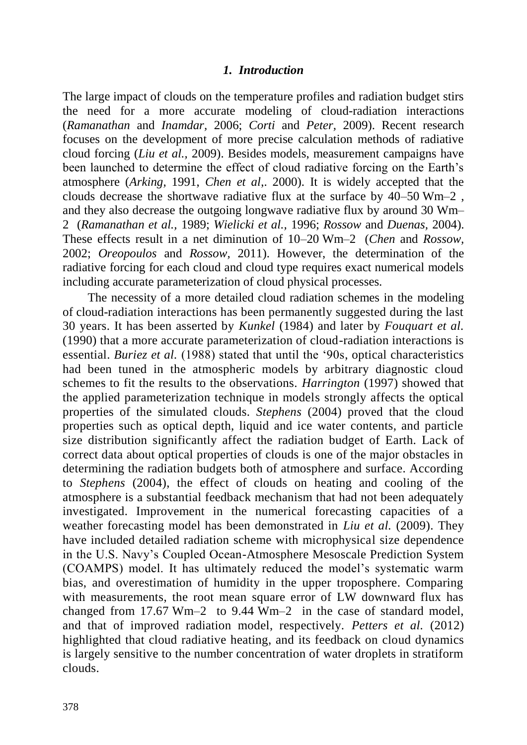# *1. Introduction*

The large impact of clouds on the temperature profiles and radiation budget stirs the need for a more accurate modeling of cloud-radiation interactions (*Ramanathan* and *Inamdar,* 2006; *Corti* and *Peter,* 2009). Recent research focuses on the development of more precise calculation methods of radiative cloud forcing (*Liu et al.,* 2009). Besides models, measurement campaigns have been launched to determine the effect of cloud radiative forcing on the Earth's atmosphere (*Arking,* 1991, *Chen et al*,. 2000). It is widely accepted that the clouds decrease the shortwave radiative flux at the surface by 40–50 Wm–2 , and they also decrease the outgoing longwave radiative flux by around 30 Wm– 2 (*Ramanathan et al.,* 1989; *Wielicki et al.,* 1996; *Rossow* and *Duenas,* 2004). These effects result in a net diminution of 10–20 Wm–2 (*Chen* and *Rossow,* 2002; *Oreopoulos* and *Rossow,* 2011). However, the determination of the radiative forcing for each cloud and cloud type requires exact numerical models including accurate parameterization of cloud physical processes.

The necessity of a more detailed cloud radiation schemes in the modeling of cloud-radiation interactions has been permanently suggested during the last 30 years. It has been asserted by *Kunkel* (1984) and later by *Fouquart et al.* (1990) that a more accurate parameterization of cloud-radiation interactions is essential. *Buriez et al.* (1988) stated that until the '90s, optical characteristics had been tuned in the atmospheric models by arbitrary diagnostic cloud schemes to fit the results to the observations. *Harrington* (1997) showed that the applied parameterization technique in models strongly affects the optical properties of the simulated clouds. *Stephens* (2004) proved that the cloud properties such as optical depth, liquid and ice water contents, and particle size distribution significantly affect the radiation budget of Earth. Lack of correct data about optical properties of clouds is one of the major obstacles in determining the radiation budgets both of atmosphere and surface. According to *Stephens* (2004), the effect of clouds on heating and cooling of the atmosphere is a substantial feedback mechanism that had not been adequately investigated. Improvement in the numerical forecasting capacities of a weather forecasting model has been demonstrated in *Liu et al.* (2009). They have included detailed radiation scheme with microphysical size dependence in the U.S. Navy's Coupled Ocean-Atmosphere Mesoscale Prediction System (COAMPS) model. It has ultimately reduced the model's systematic warm bias, and overestimation of humidity in the upper troposphere. Comparing with measurements, the root mean square error of LW downward flux has changed from 17.67 Wm–2 to 9.44 Wm–2 in the case of standard model, and that of improved radiation model, respectively. *Petters et al.* (2012) highlighted that cloud radiative heating, and its feedback on cloud dynamics is largely sensitive to the number concentration of water droplets in stratiform clouds.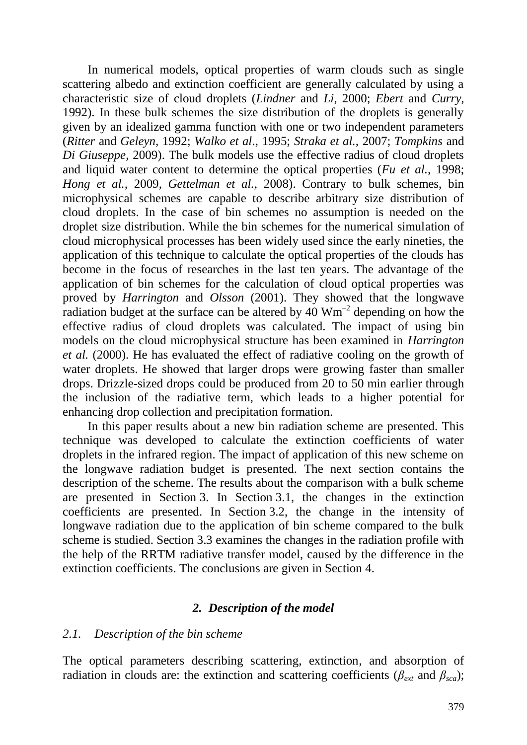In numerical models, optical properties of warm clouds such as single scattering albedo and extinction coefficient are generally calculated by using a characteristic size of cloud droplets (*Lindner* and *Li,* 2000; *Ebert* and *Curry,* 1992). In these bulk schemes the size distribution of the droplets is generally given by an idealized gamma function with one or two independent parameters (*Ritter* and *Geleyn,* 1992; *Walko et al*., 1995; *Straka et al.,* 2007; *Tompkins* and *Di Giuseppe,* 2009). The bulk models use the effective radius of cloud droplets and liquid water content to determine the optical properties (*Fu et al.,* 1998; *Hong et al.,* 2009, *Gettelman et al.,* 2008). Contrary to bulk schemes, bin microphysical schemes are capable to describe arbitrary size distribution of cloud droplets. In the case of bin schemes no assumption is needed on the droplet size distribution. While the bin schemes for the numerical simulation of cloud microphysical processes has been widely used since the early nineties, the application of this technique to calculate the optical properties of the clouds has become in the focus of researches in the last ten years. The advantage of the application of bin schemes for the calculation of cloud optical properties was proved by *Harrington* and *Olsson* (2001). They showed that the longwave radiation budget at the surface can be altered by  $40 \text{ Wm}^{-2}$  depending on how the effective radius of cloud droplets was calculated. The impact of using bin models on the cloud microphysical structure has been examined in *Harrington et al.* (2000). He has evaluated the effect of radiative cooling on the growth of water droplets. He showed that larger drops were growing faster than smaller drops. Drizzle-sized drops could be produced from 20 to 50 min earlier through the inclusion of the radiative term, which leads to a higher potential for enhancing drop collection and precipitation formation.

In this paper results about a new bin radiation scheme are presented. This technique was developed to calculate the extinction coefficients of water droplets in the infrared region. The impact of application of this new scheme on the longwave radiation budget is presented. The next section contains the description of the scheme. The results about the comparison with a bulk scheme are presented in Section 3. In Section 3.1, the changes in the extinction coefficients are presented. In Section 3.2, the change in the intensity of longwave radiation due to the application of bin scheme compared to the bulk scheme is studied. Section 3.3 examines the changes in the radiation profile with the help of the RRTM radiative transfer model, caused by the difference in the extinction coefficients. The conclusions are given in Section 4.

# *2. Description of the model*

### *2.1. Description of the bin scheme*

The optical parameters describing scattering, extinction, and absorption of radiation in clouds are: the extinction and scattering coefficients ( $\beta_{ext}$  and  $\beta_{sca}$ );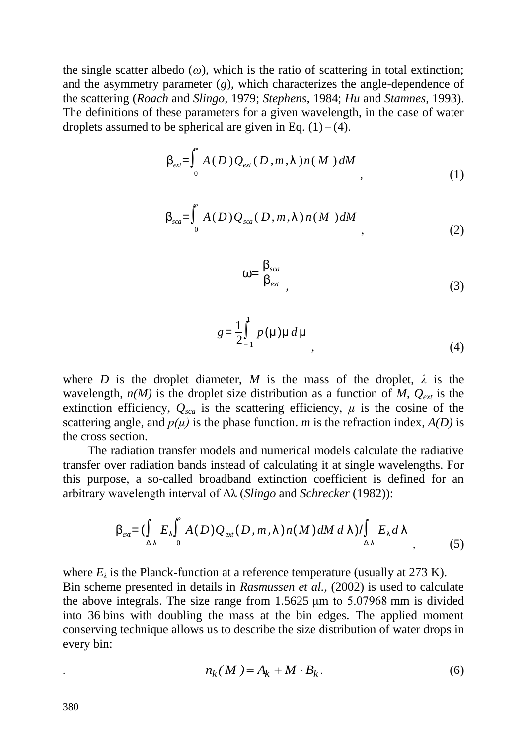the single scatter albedo  $(\omega)$ , which is the ratio of scattering in total extinction; and the asymmetry parameter (*g*), which characterizes the angle-dependence of the scattering (*Roach* and *Slingo,* 1979; *Stephens,* 1984; *Hu* and *Stamnes,* 1993). The definitions of these parameters for a given wavelength, in the case of water droplets assumed to be spherical are given in Eq.  $(1) - (4)$ .

$$
\beta_{ext} = \int_0^{\infty} A(D) Q_{ext}(D, m, \lambda) n(M) dM
$$
\n(1)

$$
\beta_{sca} = \int_{0}^{B} A(D) Q_{sca}(D, m, \lambda) n(M) dM
$$

$$
\omega = \frac{\beta_{sca}}{\beta_{ext}}\tag{3}
$$

$$
g = \frac{1}{2} \int_{-1}^{1} p(\mu) \mu \, d\mu \tag{4}
$$

where *D* is the droplet diameter, *M* is the mass of the droplet,  $\lambda$  is the wavelength,  $n(M)$  is the droplet size distribution as a function of *M*,  $Q_{ext}$  is the extinction efficiency,  $Q_{sca}$  is the scattering efficiency,  $\mu$  is the cosine of the scattering angle, and  $p(\mu)$  is the phase function. *m* is the refraction index,  $A(D)$  is the cross section.

The radiation transfer models and numerical models calculate the radiative transfer over radiation bands instead of calculating it at single wavelengths. For this purpose, a so-called broadband extinction coefficient is defined for an arbitrary wavelength interval of Δλ (*Slingo* and *Schrecker* (1982)):

$$
\beta_{ext} = \left(\int_{\Delta\lambda} E_{\lambda}\int_{0}^{R} A(D)Q_{ext}(D,m,\lambda)n(M)dM\ d\lambda\right)/\int_{\Delta\lambda} E_{\lambda}d\lambda
$$
\n(5)

where  $E_{\lambda}$  is the Planck-function at a reference temperature (usually at 273 K). Bin scheme presented in details in *Rasmussen et al.,* (2002) is used to calculate the above integrals. The size range from 1.5625 μm to 5.07968 mm is divided into 36 bins with doubling the mass at the bin edges. The applied moment conserving technique allows us to describe the size distribution of water drops in every bin:

$$
n_k(M) = A_k + M \cdot B_k. \tag{6}
$$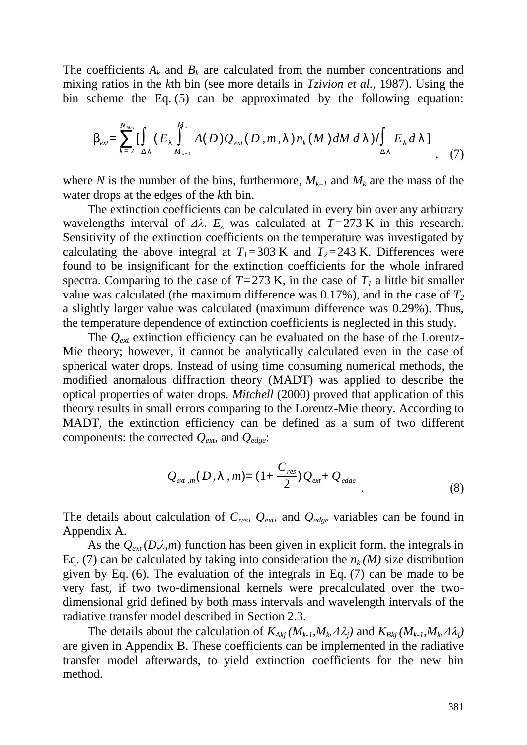The coefficients  $A_k$  and  $B_k$  are calculated from the number concentrations and mixing ratios in the *k*th bin (see more details in *Tzivion et al.,* 1987). Using the bin scheme the Eq. (5) can be approximated by the following equation:

$$
\beta_{ext} = \sum_{k=2}^{N_{bins}} \left[ \int_{\Delta \lambda} (E_{\lambda} \int_{M_{k-1}}^{M_k} A(D) Q_{ext}(D, m, \lambda) n_k(M) dM d\lambda) / \int_{\Delta \lambda} E_{\lambda} d\lambda \right]
$$
(7)

where *N* is the number of the bins, furthermore,  $M_{k-1}$  and  $M_k$  are the mass of the water drops at the edges of the *k*th bin.

The extinction coefficients can be calculated in every bin over any arbitrary wavelengths interval of  $\Delta\lambda$ .  $E_\lambda$  was calculated at  $T=273$  K in this research. Sensitivity of the extinction coefficients on the temperature was investigated by calculating the above integral at  $T_1 = 303$  K and  $T_2 = 243$  K. Differences were found to be insignificant for the extinction coefficients for the whole infrared spectra. Comparing to the case of  $T=273$  K, in the case of  $T<sub>1</sub>$  a little bit smaller value was calculated (the maximum difference was 0.17%), and in the case of *T<sup>2</sup>* a slightly larger value was calculated (maximum difference was 0.29%). Thus, the temperature dependence of extinction coefficients is neglected in this study.

The *Qext* extinction efficiency can be evaluated on the base of the Lorentz-Mie theory; however, it cannot be analytically calculated even in the case of spherical water drops. Instead of using time consuming numerical methods, the modified anomalous diffraction theory (MADT) was applied to describe the optical properties of water drops. *Mitchell* (2000) proved that application of this theory results in small errors comparing to the Lorentz-Mie theory. According to MADT, the extinction efficiency can be defined as a sum of two different components: the corrected *Qext,* and *Qedge*:

$$
Q_{\text{ext},m}(D,\lambda,m)=(1+\frac{C_{\text{res}}}{2})Q_{\text{ext}}+Q_{\text{edge}}
$$
\n(8)

The details about calculation of *Cres, Qext,* and *Qedge* variables can be found in Appendix A.

As the  $Q_{ext}(D,\lambda,m)$  function has been given in explicit form, the integrals in Eq. (7) can be calculated by taking into consideration the  $n_k(M)$  size distribution given by Eq. (6). The evaluation of the integrals in Eq. (7) can be made to be very fast, if two two-dimensional kernels were precalculated over the twodimensional grid defined by both mass intervals and wavelength intervals of the radiative transfer model described in Section 2.3.

The details about the calculation of  $K_{Akj}$   $(M_{k-l}, M_k \Delta \lambda_j)$  and  $K_{Bkj}$   $(M_{k-l}, M_k \Delta \lambda_j)$ are given in Appendix B. These coefficients can be implemented in the radiative transfer model afterwards, to yield extinction coefficients for the new bin method.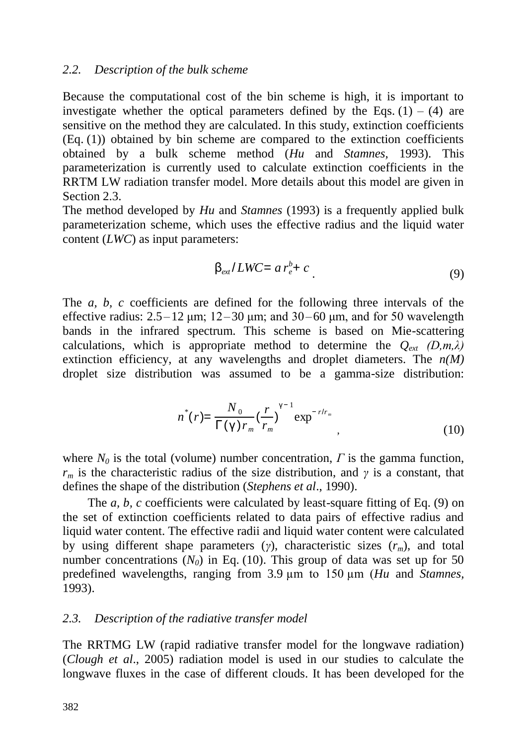### *2.2. Description of the bulk scheme*

Because the computational cost of the bin scheme is high, it is important to investigate whether the optical parameters defined by the Eqs.  $(1) - (4)$  are sensitive on the method they are calculated. In this study, extinction coefficients  $(Eq. (1))$  obtained by bin scheme are compared to the extinction coefficients obtained by a bulk scheme method (*Hu* and *Stamnes,* 1993). This parameterization is currently used to calculate extinction coefficients in the RRTM LW radiation transfer model. More details about this model are given in Section 2.3.

The method developed by *Hu* and *Stamnes* (1993) is a frequently applied bulk parameterization scheme, which uses the effective radius and the liquid water content (*LWC*) as input parameters:

$$
\beta_{ext}/LWC = ar_e^b + c
$$
 (9)

The *a, b, c* coefficients are defined for the following three intervals of the effective radius:  $2.5-12 \mu m$ ;  $12-30 \mu m$ ; and  $30-60 \mu m$ , and for 50 wavelength bands in the infrared spectrum. This scheme is based on Mie-scattering calculations, which is appropriate method to determine the  $Q_{ext}$  (D,m, $\lambda$ ) extinction efficiency, at any wavelengths and droplet diameters. The  $n(M)$ droplet size distribution was assumed to be a gamma-size distribution:

$$
n^{*}(r) = \frac{N_0}{\Gamma(\gamma) r_m} \left(\frac{r}{r_m}\right)^{\gamma - 1} \exp^{-r/r_m}, \qquad (10)
$$

where  $N_0$  is the total (volume) number concentration,  $\Gamma$  is the gamma function,  $r_m$  is the characteristic radius of the size distribution, and *γ* is a constant, that defines the shape of the distribution (*Stephens et al*., 1990).

The *a, b, c* coefficients were calculated by least-square fitting of Eq. (9) on the set of extinction coefficients related to data pairs of effective radius and liquid water content. The effective radii and liquid water content were calculated by using different shape parameters (*γ*), characteristic sizes (*rm*), and total number concentrations  $(N_0)$  in Eq. (10). This group of data was set up for 50 predefined wavelengths, ranging from 3.9 µm to 150 µm (*Hu* and *Stamnes,* 1993).

### *2.3. Description of the radiative transfer model*

The RRTMG LW (rapid radiative transfer model for the longwave radiation) (*Clough et al*., 2005) radiation model is used in our studies to calculate the longwave fluxes in the case of different clouds. It has been developed for the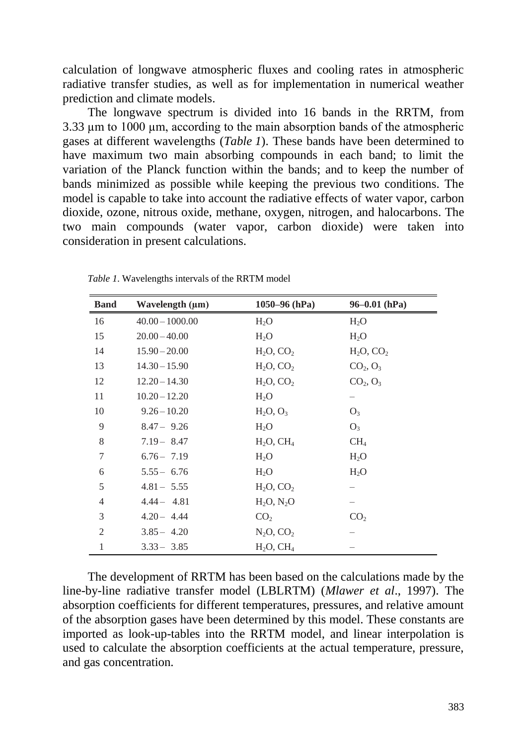calculation of longwave atmospheric fluxes and cooling rates in atmospheric radiative transfer studies, as well as for implementation in numerical weather prediction and climate models.

The longwave spectrum is divided into 16 bands in the RRTM, from 3.33 µm to 1000 µm, according to the main absorption bands of the atmospheric gases at different wavelengths (*Table 1*). These bands have been determined to have maximum two main absorbing compounds in each band; to limit the variation of the Planck function within the bands; and to keep the number of bands minimized as possible while keeping the previous two conditions. The model is capable to take into account the radiative effects of water vapor, carbon dioxide, ozone, nitrous oxide, methane, oxygen, nitrogen, and halocarbons. The two main compounds (water vapor, carbon dioxide) were taken into consideration in present calculations.

| <b>Band</b>    | Wavelength (µm)   | $1050 - 96$ (hPa) | $96 - 0.01$ (hPa)                |
|----------------|-------------------|-------------------|----------------------------------|
| 16             | $40.00 - 1000.00$ | $H_2O$            | $H_2O$                           |
| 15             | $20.00 - 40.00$   | $H_2O$            | $H_2O$                           |
| 14             | $15.90 - 20.00$   | $H_2O, CO_2$      | $H_2O, CO_2$                     |
| 13             | $14.30 - 15.90$   | $H_2O, CO_2$      | CO <sub>2</sub> , O <sub>3</sub> |
| 12             | $12.20 - 14.30$   | $H_2O, CO_2$      | $CO_2, O_3$                      |
| 11             | $10.20 - 12.20$   | $H_2O$            |                                  |
| 10             | $9.26 - 10.20$    | $H_2O, O_3$       | $O_3$                            |
| 9              | $8.47 - 9.26$     | $H_2O$            | $O_3$                            |
| 8              | $7.19 - 8.47$     | $H_2O$ , $CH_4$   | CH <sub>4</sub>                  |
| $\overline{7}$ | $6.76 - 7.19$     | $H_2O$            | $H_2O$                           |
| 6              | $5.55 - 6.76$     | $H_2O$            | $H_2O$                           |
| 5              | $4.81 - 5.55$     | $H_2O, CO_2$      |                                  |
| $\overline{4}$ | $4.44 - 4.81$     | $H_2O, N_2O$      |                                  |
| 3              | $4.20 - 4.44$     | CO <sub>2</sub>   | CO <sub>2</sub>                  |
| $\overline{2}$ | $3.85 - 4.20$     | $N_2O, CO_2$      |                                  |
| $\mathbf{1}$   | $3.33 - 3.85$     | $H_2O, CH_4$      |                                  |

*Table 1*. Wavelengths intervals of the RRTM model

The development of RRTM has been based on the calculations made by the line-by-line radiative transfer model (LBLRTM) (*Mlawer et al*., 1997). The absorption coefficients for different temperatures, pressures, and relative amount of the absorption gases have been determined by this model. These constants are imported as look-up-tables into the RRTM model, and linear interpolation is used to calculate the absorption coefficients at the actual temperature, pressure, and gas concentration.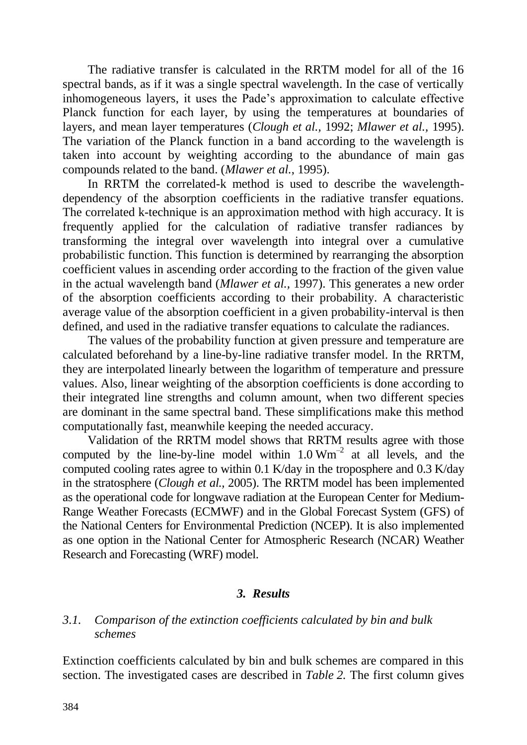The radiative transfer is calculated in the RRTM model for all of the 16 spectral bands, as if it was a single spectral wavelength. In the case of vertically inhomogeneous layers, it uses the Pade's approximation to calculate effective Planck function for each layer, by using the temperatures at boundaries of layers, and mean layer temperatures (*Clough et al.,* 1992; *Mlawer et al.,* 1995). The variation of the Planck function in a band according to the wavelength is taken into account by weighting according to the abundance of main gas compounds related to the band. (*Mlawer et al.*, 1995).

In RRTM the correlated-k method is used to describe the wavelengthdependency of the absorption coefficients in the radiative transfer equations. The correlated k-technique is an approximation method with high accuracy. It is frequently applied for the calculation of radiative transfer radiances by transforming the integral over wavelength into integral over a cumulative probabilistic function. This function is determined by rearranging the absorption coefficient values in ascending order according to the fraction of the given value in the actual wavelength band (*Mlawer et al.,* 1997). This generates a new order of the absorption coefficients according to their probability. A characteristic average value of the absorption coefficient in a given probability-interval is then defined, and used in the radiative transfer equations to calculate the radiances.

The values of the probability function at given pressure and temperature are calculated beforehand by a line-by-line radiative transfer model. In the RRTM, they are interpolated linearly between the logarithm of temperature and pressure values. Also, linear weighting of the absorption coefficients is done according to their integrated line strengths and column amount, when two different species are dominant in the same spectral band. These simplifications make this method computationally fast, meanwhile keeping the needed accuracy.

Validation of the RRTM model shows that RRTM results agree with those computed by the line-by-line model within  $1.0 \text{ Wm}^{-2}$  at all levels, and the computed cooling rates agree to within 0.1 K/day in the troposphere and 0.3 K/day in the stratosphere (*Clough et al.,* 2005). The RRTM model has been implemented as the operational code for longwave radiation at the European Center for Medium-Range Weather Forecasts (ECMWF) and in the Global Forecast System (GFS) of the National Centers for Environmental Prediction (NCEP). It is also implemented as one option in the National Center for Atmospheric Research (NCAR) Weather Research and Forecasting (WRF) model.

# *3. Results*

# *3.1. Comparison of the extinction coefficients calculated by bin and bulk schemes*

Extinction coefficients calculated by bin and bulk schemes are compared in this section. The investigated cases are described in *Table 2.* The first column gives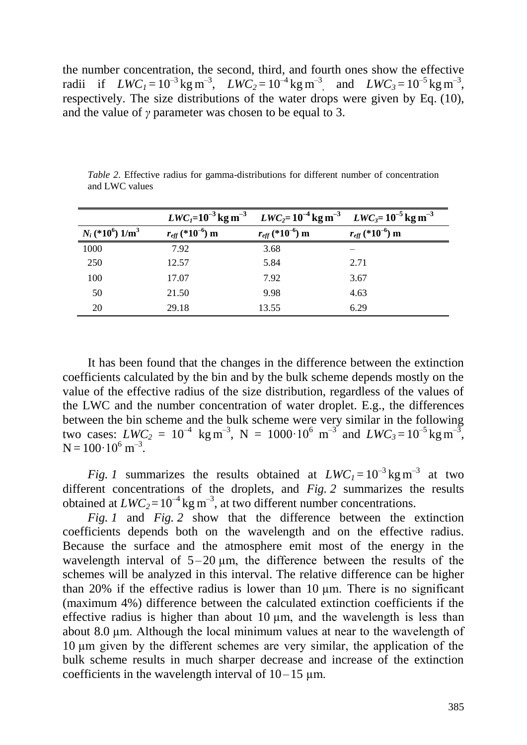the number concentration, the second, third, and fourth ones show the effective radii if  $LWC_1 = 10^{-3} \text{ kg m}^{-3}$ ,  $LWC_2 = 10^{-4} \text{ kg m}^{-3}$ , and  $LWC_3 = 10^{-5} \text{ kg m}^{-3}$ , respectively. The size distributions of the water drops were given by Eq. (10), and the value of *γ* parameter was chosen to be equal to 3.

|                                   | $LWC_I = 10^{-3}$ kg m <sup>-3</sup>    | $LWC_2 = 10^{-4}$ kg m <sup>-3</sup> $LWC_3 = 10^{-5}$ kg m <sup>-3</sup> |                                         |
|-----------------------------------|-----------------------------------------|---------------------------------------------------------------------------|-----------------------------------------|
| $N_i$ (*10 <sup>6</sup> ) $1/m^3$ | $r_{\text{eff}}$ (*10 <sup>-6</sup> ) m | $r_{\text{eff}}$ (*10 <sup>-6</sup> ) m                                   | $r_{\text{eff}}$ (*10 <sup>-6</sup> ) m |
| 1000                              | 7.92                                    | 3.68                                                                      |                                         |
| 250                               | 12.57                                   | 5.84                                                                      | 2.71                                    |
| 100                               | 17.07                                   | 7.92                                                                      | 3.67                                    |
| 50                                | 21.50                                   | 9.98                                                                      | 4.63                                    |
| 20                                | 29.18                                   | 13.55                                                                     | 6.29                                    |

*Table 2*. Effective radius for gamma-distributions for different number of concentration and LWC values

It has been found that the changes in the difference between the extinction coefficients calculated by the bin and by the bulk scheme depends mostly on the value of the effective radius of the size distribution, regardless of the values of the LWC and the number concentration of water droplet. E.g., the differences between the bin scheme and the bulk scheme were very similar in the following two cases:  $LWC_2 = 10^{-4}$  kg m<sup>-3</sup>, N = 1000·10<sup>6</sup> m<sup>-3</sup> and  $LWC_3 = 10^{-5}$  kg m<sup>-3</sup>,  $N = 100 \cdot 10^6$  m<sup>-3</sup>.

*Fig. 1* summarizes the results obtained at  $LWC_1 = 10^{-3}$  kg m<sup>-3</sup> at two different concentrations of the droplets, and *Fig.* 2 summarizes the results obtained at  $LWC_2 = 10^{-4}$  kg m<sup>-3</sup>, at two different number concentrations.

*Fig. 1* and *Fig. 2* show that the difference between the extinction coefficients depends both on the wavelength and on the effective radius. Because the surface and the atmosphere emit most of the energy in the wavelength interval of  $5-20 \mu m$ , the difference between the results of the schemes will be analyzed in this interval. The relative difference can be higher than 20% if the effective radius is lower than 10 µm. There is no significant (maximum 4%) difference between the calculated extinction coefficients if the effective radius is higher than about  $10 \mu m$ , and the wavelength is less than about 8.0 µm. Although the local minimum values at near to the wavelength of 10 µm given by the different schemes are very similar, the application of the bulk scheme results in much sharper decrease and increase of the extinction coefficients in the wavelength interval of  $10-15$  um.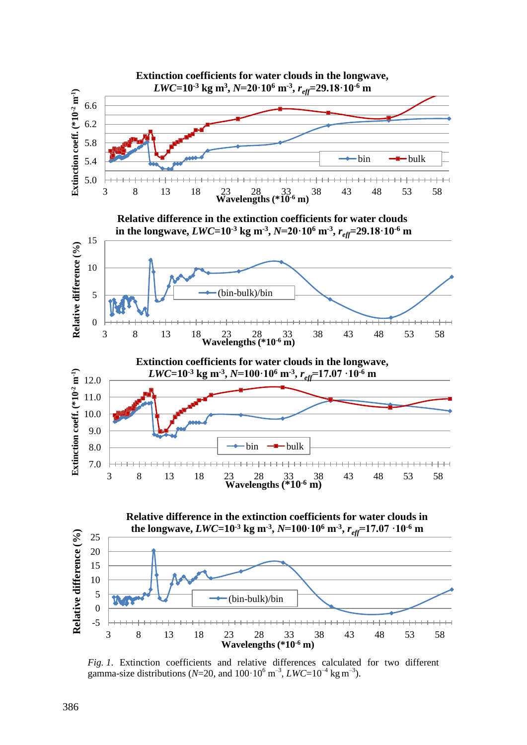

*Fig. 1*. Extinction coefficients and relative differences calculated for two different gamma-size distributions ( $N=20$ , and  $100 \cdot 10^6$  m<sup>-3</sup>,  $LWC=10^{-4}$  kg m<sup>-3</sup>).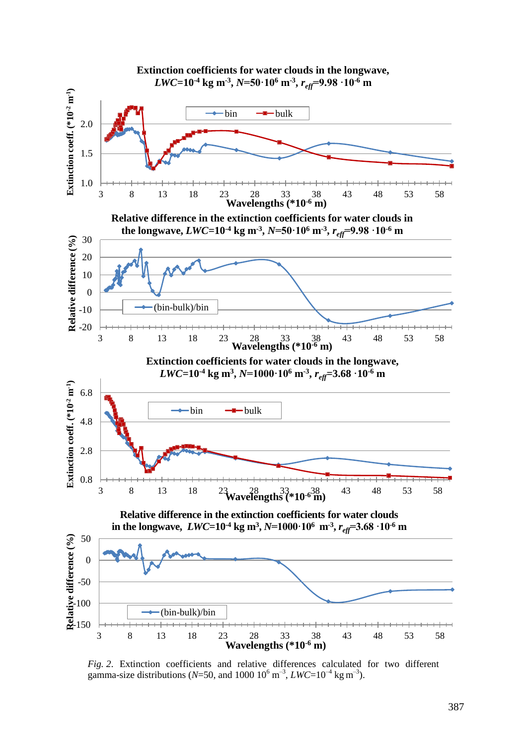

*Fig. 2*. Extinction coefficients and relative differences calculated for two different gamma-size distributions ( $N=50$ , and 1000  $10^6$  m<sup>-3</sup>,  $LWC=10^{-4}$  kg m<sup>-3</sup>).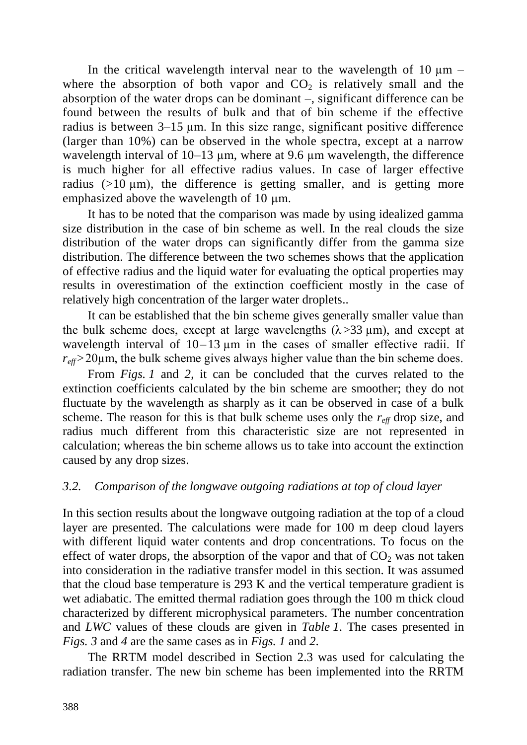In the critical wavelength interval near to the wavelength of  $10 \mu m$ where the absorption of both vapor and  $CO<sub>2</sub>$  is relatively small and the absorption of the water drops can be dominant –, significant difference can be found between the results of bulk and that of bin scheme if the effective radius is between 3–15 µm. In this size range, significant positive difference (larger than 10%) can be observed in the whole spectra, except at a narrow wavelength interval of 10–13 µm, where at 9.6 µm wavelength, the difference is much higher for all effective radius values. In case of larger effective radius  $(>10 \mu m)$ , the difference is getting smaller, and is getting more emphasized above the wavelength of 10  $\mu$ m.

It has to be noted that the comparison was made by using idealized gamma size distribution in the case of bin scheme as well. In the real clouds the size distribution of the water drops can significantly differ from the gamma size distribution. The difference between the two schemes shows that the application of effective radius and the liquid water for evaluating the optical properties may results in overestimation of the extinction coefficient mostly in the case of relatively high concentration of the larger water droplets..

It can be established that the bin scheme gives generally smaller value than the bulk scheme does, except at large wavelengths  $(\lambda > 33 \mu m)$ , and except at wavelength interval of  $10-13 \mu m$  in the cases of smaller effective radii. If  $r_{\text{eff}}$ >20 $\mu$ m, the bulk scheme gives always higher value than the bin scheme does.

From *Figs. 1* and *2*, it can be concluded that the curves related to the extinction coefficients calculated by the bin scheme are smoother; they do not fluctuate by the wavelength as sharply as it can be observed in case of a bulk scheme. The reason for this is that bulk scheme uses only the  $r_{\text{eff}}$  drop size, and radius much different from this characteristic size are not represented in calculation; whereas the bin scheme allows us to take into account the extinction caused by any drop sizes.

# *3.2. Comparison of the longwave outgoing radiations at top of cloud layer*

In this section results about the longwave outgoing radiation at the top of a cloud layer are presented. The calculations were made for 100 m deep cloud layers with different liquid water contents and drop concentrations. To focus on the effect of water drops, the absorption of the vapor and that of  $CO<sub>2</sub>$  was not taken into consideration in the radiative transfer model in this section. It was assumed that the cloud base temperature is 293 K and the vertical temperature gradient is wet adiabatic. The emitted thermal radiation goes through the 100 m thick cloud characterized by different microphysical parameters. The number concentration and *LWC* values of these clouds are given in *Table 1*. The cases presented in *Figs. 3* and *4* are the same cases as in *Figs. 1* and *2*.

The RRTM model described in Section 2.3 was used for calculating the radiation transfer. The new bin scheme has been implemented into the RRTM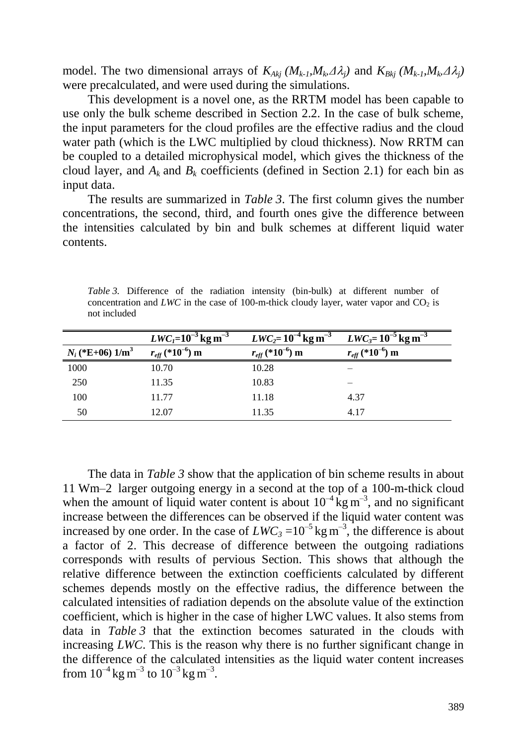model. The two dimensional arrays of  $K_{Akj}$   $(M_{k-1}, M_k \Delta \lambda_j)$  and  $K_{Bkj}$   $(M_{k-1}, M_k \Delta \lambda_j)$ were precalculated, and were used during the simulations.

This development is a novel one, as the RRTM model has been capable to use only the bulk scheme described in Section 2.2. In the case of bulk scheme, the input parameters for the cloud profiles are the effective radius and the cloud water path (which is the LWC multiplied by cloud thickness). Now RRTM can be coupled to a detailed microphysical model, which gives the thickness of the cloud layer, and  $A_k$  and  $B_k$  coefficients (defined in Section 2.1) for each bin as input data.

The results are summarized in *Table 3*. The first column gives the number concentrations, the second, third, and fourth ones give the difference between the intensities calculated by bin and bulk schemes at different liquid water contents.

*Table 3.* Difference of the radiation intensity (bin-bulk) at different number of concentration and *LWC* in the case of 100-m-thick cloudy layer, water vapor and  $CO<sub>2</sub>$  is not included

|                       | $LWC_I = 10^{-3}$ kg m <sup>-3</sup>    | $LWC_2 = 10^{-4}$ kg m <sup>-3</sup>    | $LWC_3 = 10^{-5}$ kg m <sup>-3</sup>    |
|-----------------------|-----------------------------------------|-----------------------------------------|-----------------------------------------|
| $N_i$ (*E+06) $1/m^3$ | $r_{\text{eff}}$ (*10 <sup>-6</sup> ) m | $r_{\text{eff}}$ (*10 <sup>-6</sup> ) m | $r_{\text{eff}}$ (*10 <sup>-6</sup> ) m |
| 1000                  | 10.70                                   | 10.28                                   |                                         |
| 250                   | 11.35                                   | 10.83                                   |                                         |
| 100                   | 11.77                                   | 11.18                                   | 4.37                                    |
| 50                    | 12.07                                   | 11.35                                   | 4.17                                    |

The data in *Table 3* show that the application of bin scheme results in about 11 Wm–2 larger outgoing energy in a second at the top of a 100-m-thick cloud when the amount of liquid water content is about  $10^{-4}$  kg m<sup>-3</sup>, and no significant increase between the differences can be observed if the liquid water content was increased by one order. In the case of  $LWC_3 = 10^{-5}$  kg m<sup>-3</sup>, the difference is about a factor of 2. This decrease of difference between the outgoing radiations corresponds with results of pervious Section. This shows that although the relative difference between the extinction coefficients calculated by different schemes depends mostly on the effective radius, the difference between the calculated intensities of radiation depends on the absolute value of the extinction coefficient, which is higher in the case of higher LWC values. It also stems from data in *Table 3* that the extinction becomes saturated in the clouds with increasing *LWC*. This is the reason why there is no further significant change in the difference of the calculated intensities as the liquid water content increases from  $10^{-4}$  kg m<sup>-3</sup> to  $10^{-3}$  kg m<sup>-3</sup>.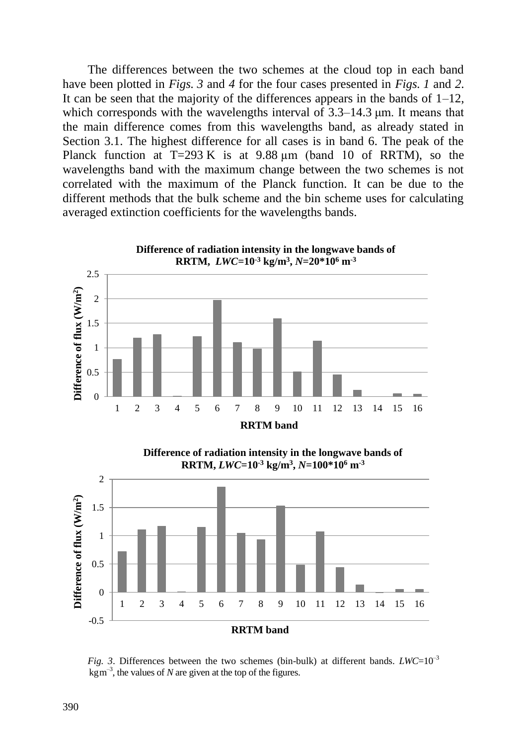The differences between the two schemes at the cloud top in each band have been plotted in *Figs. 3* and *4* for the four cases presented in *Figs. 1* and *2*. It can be seen that the majority of the differences appears in the bands of  $1-12$ , which corresponds with the wavelengths interval of 3.3–14.3  $\mu$ m. It means that the main difference comes from this wavelengths band, as already stated in Section 3.1. The highest difference for all cases is in band 6. The peak of the Planck function at  $T=293 \text{ K}$  is at 9.88  $\mu$ m (band 10 of RRTM), so the wavelengths band with the maximum change between the two schemes is not correlated with the maximum of the Planck function. It can be due to the different methods that the bulk scheme and the bin scheme uses for calculating averaged extinction coefficients for the wavelengths bands.

![](_page_13_Figure_1.jpeg)

*Fig. 3.* Differences between the two schemes (bin-bulk) at different bands.  $LWC=10^{-3}$  $\text{kgm}^{-3}$ , the values of *N* are given at the top of the figures.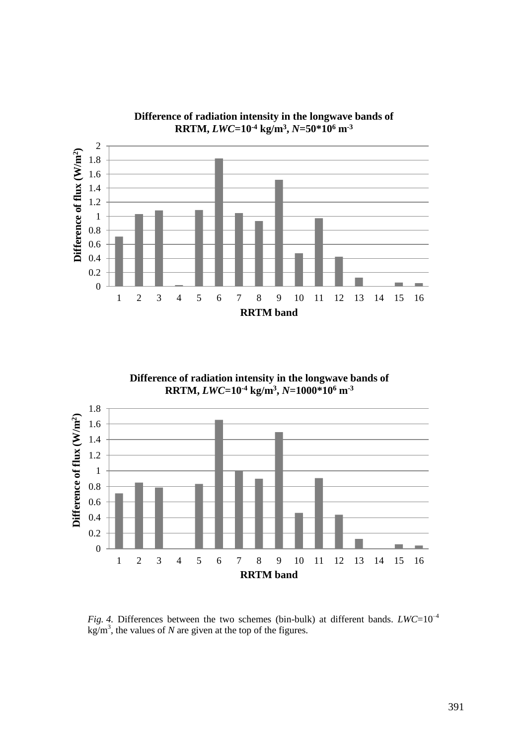![](_page_14_Figure_0.jpeg)

**Difference of radiation intensity in the longwave bands of RRTM,** *LWC***=10-4 kg/m<sup>3</sup> ,** *N***=50\*10<sup>6</sup> m-3**

![](_page_14_Figure_2.jpeg)

![](_page_14_Figure_3.jpeg)

*Fig.* 4. Differences between the two schemes (bin-bulk) at different bands.  $LWC=10^{-4}$  $\text{kg/m}^3$ , the values of *N* are given at the top of the figures.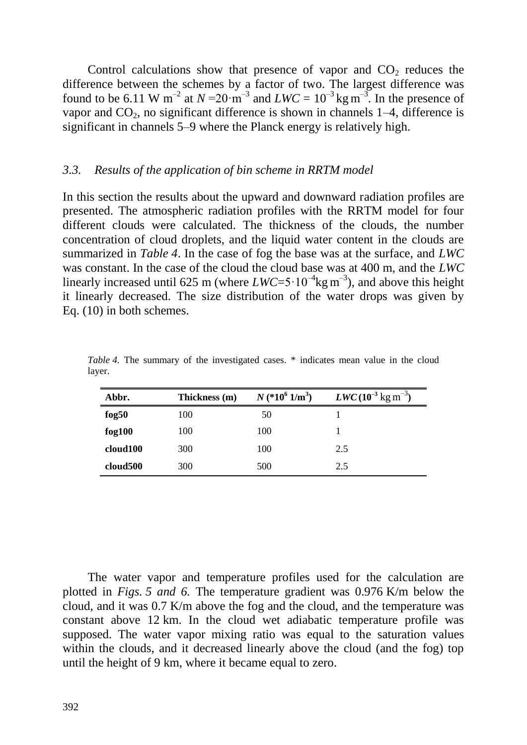Control calculations show that presence of vapor and  $CO<sub>2</sub>$  reduces the difference between the schemes by a factor of two. The largest difference was found to be 6.11 W m<sup>-2</sup> at  $N = 20 \cdot m^{-3}$  and  $LWC = 10^{-3} \text{kg m}^{-3}$ . In the presence of vapor and  $CO<sub>2</sub>$ , no significant difference is shown in channels 1–4, difference is significant in channels 5–9 where the Planck energy is relatively high.

### *3.3. Results of the application of bin scheme in RRTM model*

In this section the results about the upward and downward radiation profiles are presented. The atmospheric radiation profiles with the RRTM model for four different clouds were calculated. The thickness of the clouds, the number concentration of cloud droplets, and the liquid water content in the clouds are summarized in *Table 4*. In the case of fog the base was at the surface, and *LWC* was constant. In the case of the cloud the cloud base was at 400 m, and the *LWC* linearly increased until 625 m (where  $LWC = 5 \cdot 10^{-4} \text{kg m}^{-3}$ ), and above this height it linearly decreased. The size distribution of the water drops was given by Eq. (10) in both schemes.

| Abbr.       | Thickness (m) | $N$ (*10 <sup>6</sup> 1/m <sup>3</sup> ) | $LWC (10^{-3} \text{ kg m}^{-3})$ |
|-------------|---------------|------------------------------------------|-----------------------------------|
| fog $50$    | 100           | 50                                       |                                   |
| $f_{0}g100$ | 100           | 100                                      |                                   |
| cloud100    | 300           | 100                                      | 2.5                               |
| cloud500    | 300           | 500                                      | 2.5                               |

*Table* 4. The summary of the investigated cases. \* indicates mean value in the cloud layer.

The water vapor and temperature profiles used for the calculation are plotted in *Figs. 5 and 6.* The temperature gradient was 0.976 K/m below the cloud, and it was 0.7 K/m above the fog and the cloud, and the temperature was constant above 12 km. In the cloud wet adiabatic temperature profile was supposed. The water vapor mixing ratio was equal to the saturation values within the clouds, and it decreased linearly above the cloud (and the fog) top until the height of 9 km, where it became equal to zero.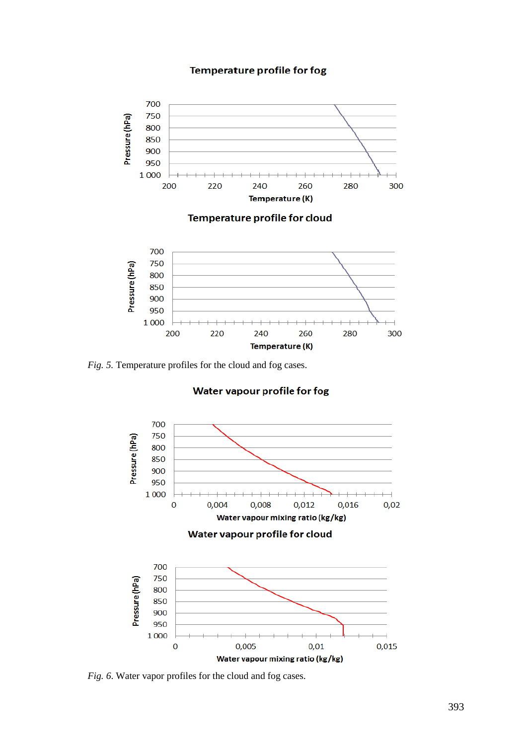#### **Temperature profile for fog**

![](_page_16_Figure_1.jpeg)

*Fig. 5.* Temperature profiles for the cloud and fog cases.

#### Water vapour profile for fog

![](_page_16_Figure_4.jpeg)

*Fig. 6*. Water vapor profiles for the cloud and fog cases.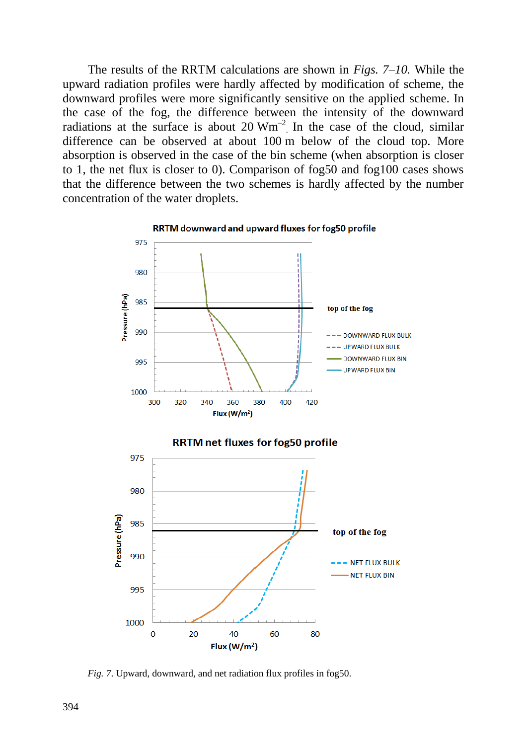The results of the RRTM calculations are shown in *Figs. 7–10.* While the upward radiation profiles were hardly affected by modification of scheme, the downward profiles were more significantly sensitive on the applied scheme. In the case of the fog, the difference between the intensity of the downward radiations at the surface is about 20  $Wm^{-2}$ . In the case of the cloud, similar difference can be observed at about 100 m below of the cloud top. More absorption is observed in the case of the bin scheme (when absorption is closer to 1, the net flux is closer to 0). Comparison of fog50 and fog100 cases shows that the difference between the two schemes is hardly affected by the number concentration of the water droplets.

![](_page_17_Figure_1.jpeg)

RRTM downward and upward fluxes for fog50 profile

*Fig. 7*. Upward, downward, and net radiation flux profiles in fog50.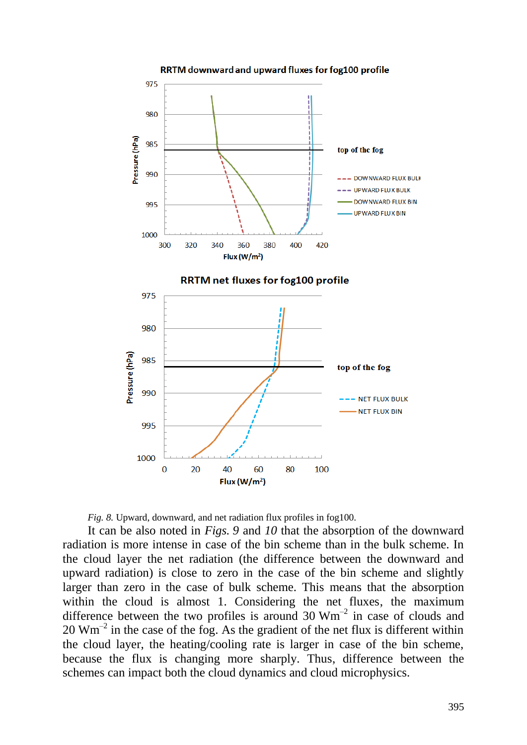![](_page_18_Figure_0.jpeg)

![](_page_18_Figure_1.jpeg)

It can be also noted in *Figs. 9* and *10* that the absorption of the downward radiation is more intense in case of the bin scheme than in the bulk scheme. In the cloud layer the net radiation (the difference between the downward and upward radiation) is close to zero in the case of the bin scheme and slightly larger than zero in the case of bulk scheme. This means that the absorption within the cloud is almost 1. Considering the net fluxes, the maximum difference between the two profiles is around  $30 \text{ Wm}^{-2}$  in case of clouds and  $20 \text{ Wm}^{-2}$  in the case of the fog. As the gradient of the net flux is different within the cloud layer, the heating/cooling rate is larger in case of the bin scheme, because the flux is changing more sharply. Thus, difference between the schemes can impact both the cloud dynamics and cloud microphysics.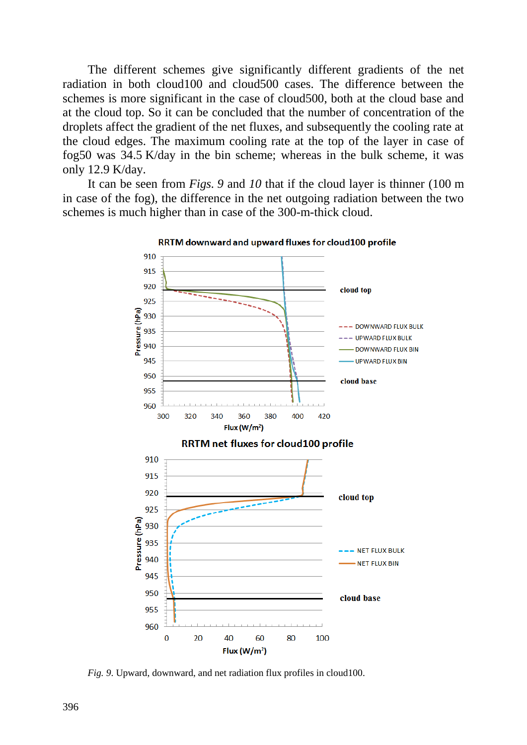The different schemes give significantly different gradients of the net radiation in both cloud100 and cloud500 cases. The difference between the schemes is more significant in the case of cloud500, both at the cloud base and at the cloud top. So it can be concluded that the number of concentration of the droplets affect the gradient of the net fluxes, and subsequently the cooling rate at the cloud edges. The maximum cooling rate at the top of the layer in case of fog50 was 34.5 K/day in the bin scheme; whereas in the bulk scheme, it was only 12.9 K/day.

It can be seen from *Figs. 9* and *10* that if the cloud layer is thinner (100 m in case of the fog), the difference in the net outgoing radiation between the two schemes is much higher than in case of the 300-m-thick cloud.

![](_page_19_Figure_2.jpeg)

RRTM downward and upward fluxes for cloud100 profile

*Fig. 9*. Upward, downward, and net radiation flux profiles in cloud100.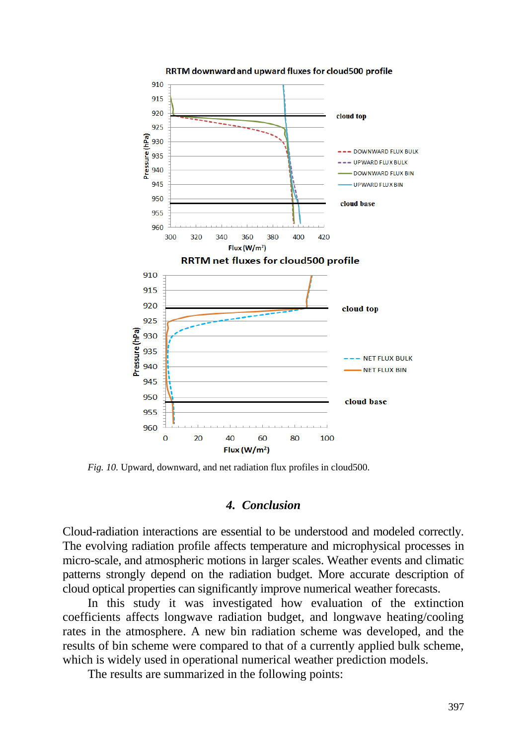![](_page_20_Figure_0.jpeg)

RRTM downward and upward fluxes for cloud500 profile

*Fig. 10.* Upward, downward, and net radiation flux profiles in cloud500.

### *4. Conclusion*

Cloud-radiation interactions are essential to be understood and modeled correctly. The evolving radiation profile affects temperature and microphysical processes in micro-scale, and atmospheric motions in larger scales. Weather events and climatic patterns strongly depend on the radiation budget. More accurate description of cloud optical properties can significantly improve numerical weather forecasts.

In this study it was investigated how evaluation of the extinction coefficients affects longwave radiation budget, and longwave heating/cooling rates in the atmosphere. A new bin radiation scheme was developed, and the results of bin scheme were compared to that of a currently applied bulk scheme, which is widely used in operational numerical weather prediction models.

The results are summarized in the following points: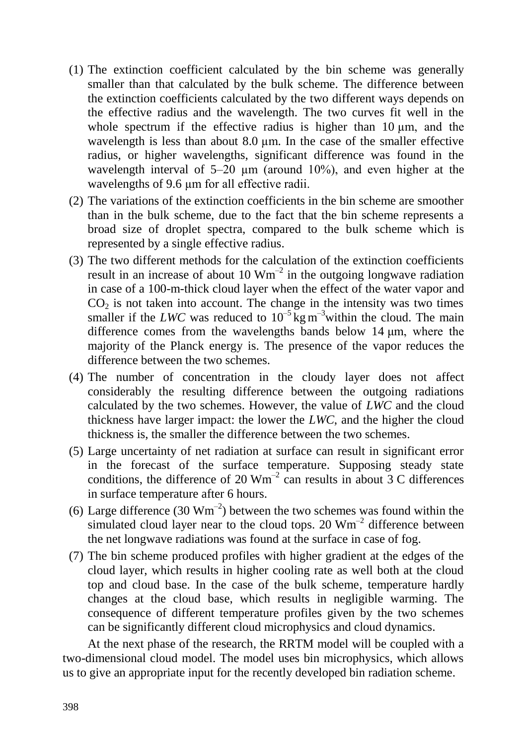- (1) The extinction coefficient calculated by the bin scheme was generally smaller than that calculated by the bulk scheme. The difference between the extinction coefficients calculated by the two different ways depends on the effective radius and the wavelength. The two curves fit well in the whole spectrum if the effective radius is higher than  $10 \mu m$ , and the wavelength is less than about  $8.0 \mu m$ . In the case of the smaller effective radius, or higher wavelengths, significant difference was found in the wavelength interval of  $5-20 \mu m$  (around  $10\%$ ), and even higher at the wavelengths of 9.6  $\mu$ m for all effective radii.
- (2) The variations of the extinction coefficients in the bin scheme are smoother than in the bulk scheme, due to the fact that the bin scheme represents a broad size of droplet spectra, compared to the bulk scheme which is represented by a single effective radius.
- (3) The two different methods for the calculation of the extinction coefficients result in an increase of about 10  $Wm^{-2}$  in the outgoing longwave radiation in case of a 100-m-thick cloud layer when the effect of the water vapor and  $CO<sub>2</sub>$  is not taken into account. The change in the intensity was two times smaller if the *LWC* was reduced to  $10^{-5}$  kg m<sup>-3</sup>within the cloud. The main difference comes from the wavelengths bands below 14 μm, where the majority of the Planck energy is. The presence of the vapor reduces the difference between the two schemes.
- (4) The number of concentration in the cloudy layer does not affect considerably the resulting difference between the outgoing radiations calculated by the two schemes. However, the value of *LWC* and the cloud thickness have larger impact: the lower the *LWC*, and the higher the cloud thickness is, the smaller the difference between the two schemes.
- (5) Large uncertainty of net radiation at surface can result in significant error in the forecast of the surface temperature. Supposing steady state conditions, the difference of 20  $Wm^{-2}$  can results in about 3 C differences in surface temperature after 6 hours.
- (6) Large difference (30  $\text{Wm}^{-2}$ ) between the two schemes was found within the simulated cloud layer near to the cloud tops. 20  $Wm^{-2}$  difference between the net longwave radiations was found at the surface in case of fog.
- (7) The bin scheme produced profiles with higher gradient at the edges of the cloud layer, which results in higher cooling rate as well both at the cloud top and cloud base. In the case of the bulk scheme, temperature hardly changes at the cloud base, which results in negligible warming. The consequence of different temperature profiles given by the two schemes can be significantly different cloud microphysics and cloud dynamics.

At the next phase of the research, the RRTM model will be coupled with a two-dimensional cloud model. The model uses bin microphysics, which allows us to give an appropriate input for the recently developed bin radiation scheme.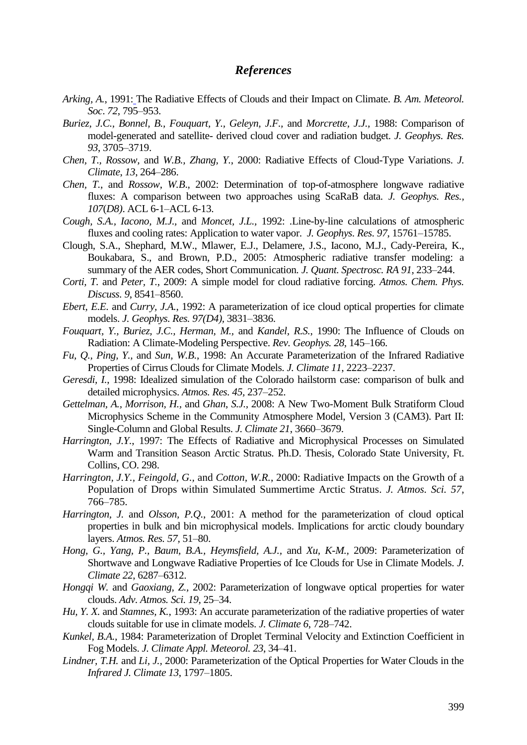### *References*

- *[Arking, A.](http://adsabs.harvard.edu/cgi-bin/author_form?author=Arking,+A&fullauthor=Arking,%20Albert&charset=UTF-8&db_key=PHY)*, 1991: The Radiative Effects of Clouds and their Impact on Climate. *B. Am. Meteorol. Soc*. *72*, 795–953.
- *Buriez, J.C., Bonnel, B., Fouquart, Y., Geleyn, J.F.,* and *Morcrette, J.J.,* 1988: Comparison of model-generated and satellite- derived cloud cover and radiation budget. *J. Geophys. Res. 93*, 3705–3719.
- *Chen, T., Rossow,* and *W.B., Zhang, Y.*, 2000: Radiative Effects of Cloud-Type Variations. *J. Climate*, *13*, 264–286.
- *Chen, T.*, and *Rossow*, *W.B*., 2002: Determination of top-of-atmosphere longwave radiative fluxes: A comparison between two approaches using ScaRaB data*. J. Geophys. Res., 107*(*D8)*. ACL 6-1–ACL 6-13.
- *Cough, S.A., Iacono, M.J.,* and *Moncet, J.L.,* 1992: .Line-by-line calculations of atmospheric fluxes and cooling rates: Application to water vapor. *J. Geophys. Res. 97*, 15761–15785.
- Clough, S.A., Shephard, M.W., Mlawer, E.J., Delamere, J.S., Iacono, M.J., Cady-Pereira, K., Boukabara, S., and Brown, P.D., 2005: Atmospheric radiative transfer modeling: a summary of the AER codes, Short Communication*. J. Quant. Spectrosc. RA 91*, 233–244.
- *Corti, T.* and *Peter, T.*, 2009: A simple model for cloud radiative forcing. *Atmos. Chem. Phys. Discuss. 9*, 8541–8560.
- *Ebert, E.E.* and *Curry, J.A.*, 1992: A parameterization of ice cloud optical properties for climate models. *J. Geophys. Res. 97(D4),* 3831–3836.
- *Fouquart, Y., Buriez, J.C., Herman, M.,* and *Kandel, R.S.*, 1990: The Influence of Clouds on Radiation: A Climate-Modeling Perspective. *Rev. Geophys. 28*, 145–166.
- *Fu, Q., Ping, Y.,* and *Sun, W.B.*, 1998: An Accurate Parameterization of the Infrared Radiative Properties of Cirrus Clouds for Climate Models. *J. Climate 11*, 2223–2237.
- *Geresdi, I.*, 1998: Idealized simulation of the Colorado hailstorm case: comparison of bulk and detailed microphysics. *Atmos. Res. 45,* 237–252.
- *Gettelman, A., Morrison, H.,* and *Ghan*, *S.J.,* 2008: A New Two-Moment Bulk Stratiform Cloud Microphysics Scheme in the Community Atmosphere Model, Version 3 (CAM3). Part II: Single-Column and Global Results. *J. Climate 21*, 3660–3679.
- *Harrington, J.Y.*, 1997: The Effects of Radiative and Microphysical Processes on Simulated Warm and Transition Season Arctic Stratus*.* Ph.D. Thesis, Colorado State University, Ft. Collins, CO. 298.
- *Harrington, J.Y., Feingold, G.,* and *Cotton, W.R.*, 2000: Radiative Impacts on the Growth of a Population of Drops within Simulated Summertime Arctic Stratus. *J. Atmos. Sci. 57*, 766–785.
- *Harrington, J.* and *Olsson, P.Q.*, 2001: A method for the parameterization of cloud optical properties in bulk and bin microphysical models. Implications for arctic cloudy boundary layers. *Atmos. Res. 57,* 51–80.
- *Hong, G., Yang, P., Baum, B.A., Heymsfield, A.J.,* and *Xu, K-M.,* 2009: Parameterization of Shortwave and Longwave Radiative Properties of Ice Clouds for Use in Climate Models. *J. Climate 22*, 6287–6312.
- *Hongqi W.* and *Gaoxiang, Z.,* 2002: Parameterization of longwave optical properties for water clouds. *Adv. Atmos. Sci. 19*, 25–34.
- *Hu, Y. X.* and *Stamnes, K.*, 1993: An accurate parameterization of the radiative properties of water clouds suitable for use in climate models. *J. Climate 6*, 728–742.
- *Kunkel, B.A.,* 1984: Parameterization of Droplet Terminal Velocity and Extinction Coefficient in Fog Models. *J. Climate Appl. Meteorol. 23*, 34–41.
- *Lindner, T.H.* and *Li, J.,* 2000: Parameterization of the Optical Properties for Water Clouds in the *Infrared J. Climate 13*, 1797–1805.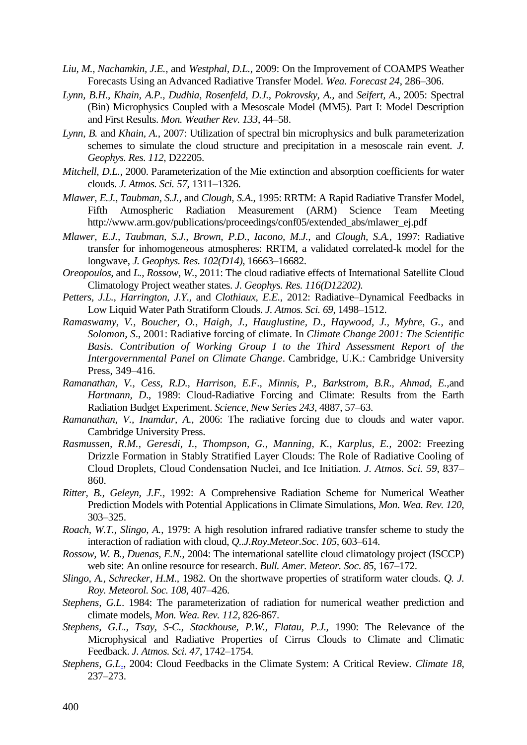- *[Liu, M., Nachamkin, J.E.,](http://adsabs.harvard.edu/cgi-bin/author_form?author=Liu,+M&fullauthor=Liu,%20Ming&charset=UTF-8&db_key=PHY)* and *[Westphal, D.L.](http://adsabs.harvard.edu/cgi-bin/author_form?author=Westphal,+D&fullauthor=Westphal,%20Douglas%20L.&charset=UTF-8&db_key=PHY)*, 2009: On the Improvement of COAMPS Weather Forecasts Using an Advanced Radiative Transfer Model. *Wea. Forecast 24*, 286–306.
- *Lynn, B.H., Khain, A.P., Dudhia, Rosenfeld, D.J., Pokrovsky, A.,* and *Seifert, A.*, 2005: Spectral (Bin) Microphysics Coupled with a Mesoscale Model (MM5). Part I: Model Description and First Results. *Mon. Weather Rev. 133*, 44–58.
- *Lynn, B.* and *Khain, A.,* 2007: Utilization of spectral bin microphysics and bulk parameterization schemes to simulate the cloud structure and precipitation in a mesoscale rain event. *J. Geophys. Res. 112*, D22205.
- *Mitchell, D.L.*, 2000. Parameterization of the Mie extinction and absorption coefficients for water clouds. *J. Atmos. Sci. 57*, 1311–1326.
- *Mlawer, E.J., Taubman, S.J.,* and *Clough, S.A*., 1995: RRTM: A Rapid Radiative Transfer Model, Fifth Atmospheric Radiation Measurement (ARM) Science Team Meeting http://www.arm.gov/publications/proceedings/conf05/extended\_abs/mlawer\_ej.pdf
- *Mlawer, E.J., Taubman, S.J., Brown, P.D., Iacono, M.J.,* and *Clough, S.A.,* 1997: Radiative transfer for inhomogeneous atmospheres: RRTM, a validated correlated-k model for the longwave, *J. Geophys. Res. 102(D14)*, 16663–16682.
- *Oreopoulos,* and *L., Rossow, W.*, 2011: The cloud radiative effects of International Satellite Cloud Climatology Project weather states. *J. Geophys. Res. 116(D12202).*
- *Petters, J.L., Harrington, J.Y.,* and *Clothiaux, E.E.*, 2012: Radiative–Dynamical Feedbacks in Low Liquid Water Path Stratiform Clouds. *J. Atmos. Sci. 69*, 1498–1512.
- *Ramaswamy, V., Boucher, O., Haigh, J., Hauglustine, D., Haywood, J., Myhre, G.*, and *Solomon, S*., 2001: Radiative forcing of climate. In *Climate Change 2001: The Scientific Basis. Contribution of Working Group I to the Third Assessment Report of the Intergovernmental Panel on Climate Change*. Cambridge, U.K.: Cambridge University Press, 349–416.
- *Ramanathan, V., Cess, R.D., Harrison, E.F., Minnis, P., Barkstrom, B.R., Ahmad, E.,*and *Hartmann, D*., 1989: Cloud-Radiative Forcing and Climate: Results from the Earth Radiation Budget Experiment. *Science, New Series 243*, 4887, 57–63.
- *Ramanathan, V., Inamdar, A.,* 2006: The radiative forcing due to clouds and water vapor. Cambridge University Press.
- *Rasmussen, R.M., Geresdi, I., Thompson, G., Manning, K., Karplus, E.,* 2002: Freezing Drizzle Formation in Stably Stratified Layer Clouds: The Role of Radiative Cooling of Cloud Droplets, Cloud Condensation Nuclei, and Ice Initiation. *J. Atmos. Sci. 59*, 837– 860.
- *Ritter, B., Geleyn, J.F.,* 1992: A Comprehensive Radiation Scheme for Numerical Weather Prediction Models with Potential Applications in Climate Simulations, *Mon. Wea. Rev. 120*, 303–325.
- *Roach, W.T., Slingo, A.*, 1979: A high resolution infrared radiative transfer scheme to study the interaction of radiation with cloud, *Q..J.Roy.Meteor.Soc. 105*, 603–614.
- *Rossow, W. B., Duenas, E.N.*, 2004: The international satellite cloud climatology project (ISCCP) web site: An online resource for research. *Bull. Amer. Meteor. Soc*. *85*, 167–172.
- *Slingo, A., Schrecker, H.M.,* 1982. On the shortwave properties of stratiform water clouds. *Q. J. Roy. Meteorol. Soc. 108*, 407–426.
- *Stephens, G.L.* 1984: The parameterization of radiation for numerical weather prediction and [climate models,](http://www.eos.ubc.ca/personal/amartill/terry/21.pdf) *Mon. Wea. Rev. 112*, 826-867.
- *Stephens, G.L., Tsay, S-C., Stackhouse, P.W., Flatau, P.J.,* 1990: The Relevance of the Microphysical and Radiative Properties of Cirrus Clouds to Climate and Climatic Feedback. *J. Atmos. Sci. 47*, 1742–1754.
- *[Stephens,](http://adsabs.harvard.edu/cgi-bin/author_form?author=Stephens,+G&fullauthor=Stephens,%20Graeme%20L.&charset=UTF-8&db_key=PHY) G.L*., 2004: Cloud Feedbacks in the Climate System: A Critical Review*. Climate 18*, 237–273.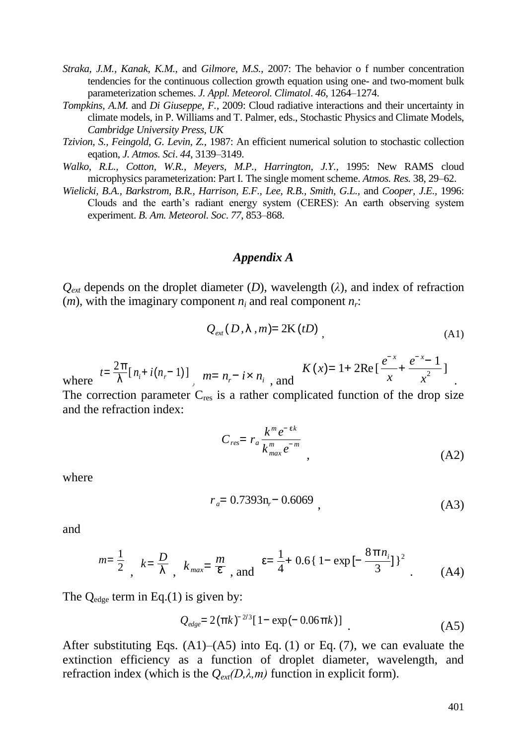- *Straka, J.M., Kanak, K.M.,* and *Gilmore, M.S.*, 2007: The behavior o f number concentration tendencies for the continuous collection growth equation using one- and two-moment bulk parameterization schemes. *J. Appl. Meteorol. Climatol*. *46*, 1264–1274.
- *Tompkins, A.M.* and *Di Giuseppe, F.*, 2009: Cloud radiative interactions and their uncertainty in climate models, in P. Williams and T. Palmer, eds., Stochastic Physics and Climate Models, *Cambridge University Press, UK*
- *Tzivion, S., Feingold, G. Levin, Z.,* 1987: An efficient numerical solution to stochastic collection eqation, *J. Atmos. Sci*. *44*, 3139–3149.
- *Walko, R.L., Cotton, W.R., Meyers, M.P., Harrington, J.Y.,* 1995: New RAMS cloud microphysics parameterization: Part I. The single moment scheme. *Atmos. Res.* 38, 29–62.
- *Wielicki, B.A., Barkstrom, B.R., Harrison, E.F., Lee, R.B., Smith, G.L.,* and *Cooper, J.E.,* 1996: Clouds and the earth's radiant energy system (CERES): An earth observing system experiment. *B. Am. Meteorol. Soc*. *77*, 853–868.

### *Appendix A*

 $Q_{ext}$  depends on the droplet diameter (*D*), wavelength ( $\lambda$ ), and index of refraction (*m*), with the imaginary component  $n_i$  and real component  $n_i$ :

$$
Q_{\text{ext}}(D,\lambda,m) = 2\mathcal{K}(tD) \tag{A1}
$$

where 
$$
t = \frac{2\pi}{\lambda} [n_i + i(n_i - 1)]
$$
,  $m = n_i - i \times n_i$ , and  $K(x) = 1 + 2\text{Re}[\frac{e^{-x}}{x} + \frac{e^{-x} - 1}{x^2}]$ .

The correction parameter  $C_{res}$  is a rather complicated function of the drop size and the refraction index:

$$
C_{res} = r_a \frac{k^m e^{-\epsilon k}}{k_{max}^m e^{-m}},
$$
\n(A2)

where

$$
r_a = 0.7393n_r - 0.6069
$$
 (A3)

and

$$
m = \frac{1}{2}, \quad k = \frac{D}{\lambda}, \quad k_{max} = \frac{m}{\epsilon}, \quad \text{and} \quad \epsilon = \frac{1}{4} + 0.6 \{ 1 - \exp\left[ -\frac{8\pi n_i}{3} \right] \}^2
$$
 (A4)

The  $Q_{\text{edge}}$  term in Eq.(1) is given by:

$$
Q_{\text{edge}} = 2(\pi k)^{-2/3} [1 - \exp(-0.06 \pi k)] \tag{A5}
$$

After substituting Eqs.  $(A1)$ – $(A5)$  into Eq. (1) or Eq. (7), we can evaluate the extinction efficiency as a function of droplet diameter, wavelength, and refraction index (which is the  $Q_{ext}(D,\lambda,m)$  function in explicit form).